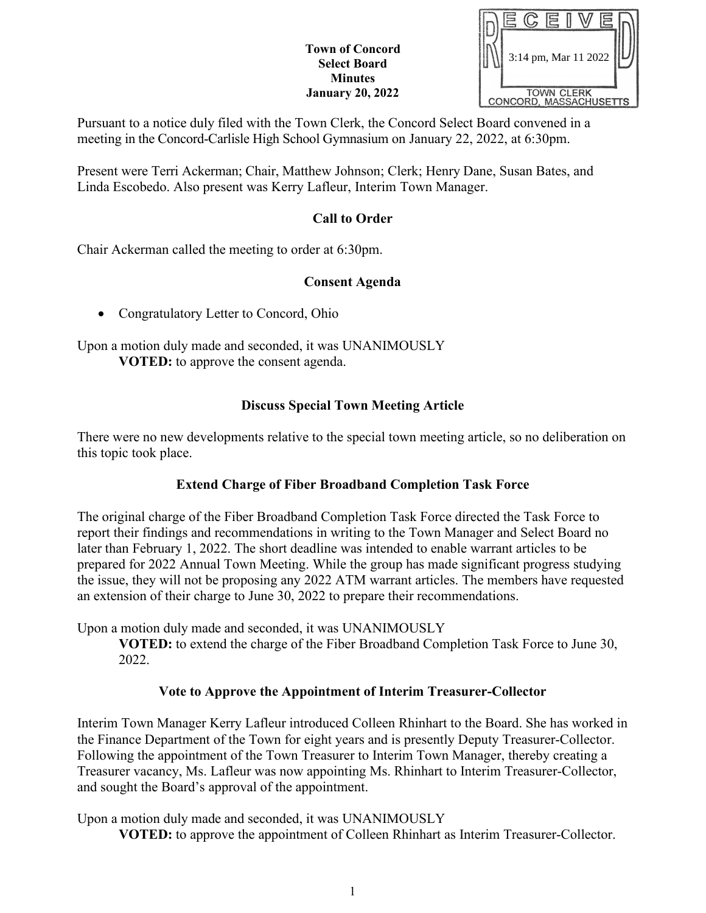#### **Town of Concord Select Board Minutes January 20, 2022**



Pursuant to a notice duly filed with the Town Clerk, the Concord Select Board convened in a meeting in the Concord-Carlisle High School Gymnasium on January 22, 2022, at 6:30pm.

Present were Terri Ackerman; Chair, Matthew Johnson; Clerk; Henry Dane, Susan Bates, and Linda Escobedo. Also present was Kerry Lafleur, Interim Town Manager.

## **Call to Order**

Chair Ackerman called the meeting to order at 6:30pm.

## **Consent Agenda**

• Congratulatory Letter to Concord, Ohio

Upon a motion duly made and seconded, it was UNANIMOUSLY **VOTED:** to approve the consent agenda.

## **Discuss Special Town Meeting Article**

There were no new developments relative to the special town meeting article, so no deliberation on this topic took place.

# **Extend Charge of Fiber Broadband Completion Task Force**

The original charge of the Fiber Broadband Completion Task Force directed the Task Force to report their findings and recommendations in writing to the Town Manager and Select Board no later than February 1, 2022. The short deadline was intended to enable warrant articles to be prepared for 2022 Annual Town Meeting. While the group has made significant progress studying the issue, they will not be proposing any 2022 ATM warrant articles. The members have requested an extension of their charge to June 30, 2022 to prepare their recommendations.

Upon a motion duly made and seconded, it was UNANIMOUSLY

**VOTED:** to extend the charge of the Fiber Broadband Completion Task Force to June 30, 2022.

## **Vote to Approve the Appointment of Interim Treasurer‐Collector**

Interim Town Manager Kerry Lafleur introduced Colleen Rhinhart to the Board. She has worked in the Finance Department of the Town for eight years and is presently Deputy Treasurer-Collector. Following the appointment of the Town Treasurer to Interim Town Manager, thereby creating a Treasurer vacancy, Ms. Lafleur was now appointing Ms. Rhinhart to Interim Treasurer-Collector, and sought the Board's approval of the appointment.

Upon a motion duly made and seconded, it was UNANIMOUSLY

**VOTED:** to approve the appointment of Colleen Rhinhart as Interim Treasurer-Collector.